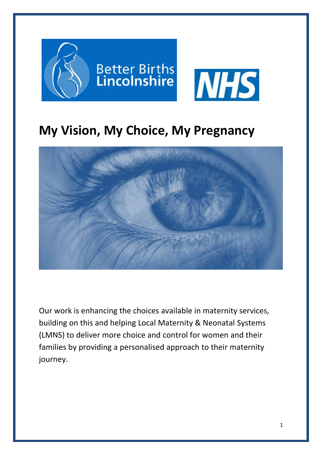

# **My Vision, My Choice, My Pregnancy**



Our work is enhancing the choices available in maternity services, building on this and helping Local Maternity & Neonatal Systems (LMNS) to deliver more choice and control for women and their families by providing a personalised approach to their maternity journey.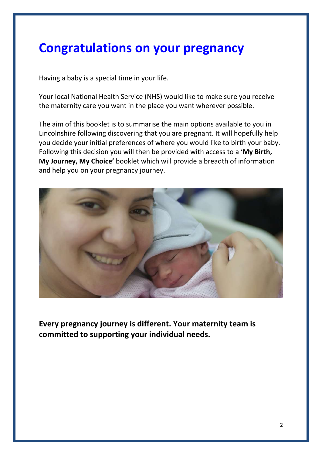# **Congratulations on your pregnancy**

Having a baby is a special time in your life.

Your local National Health Service (NHS) would like to make sure you receive the maternity care you want in the place you want wherever possible.

The aim of this booklet is to summarise the main options available to you in Lincolnshire following discovering that you are pregnant. It will hopefully help you decide your initial preferences of where you would like to birth your baby. Following this decision you will then be provided with access to a '**My Birth, My Journey, My Choice'** booklet which will provide a breadth of information and help you on your pregnancy journey.



**Every pregnancy journey is different. Your maternity team is committed to supporting your individual needs.**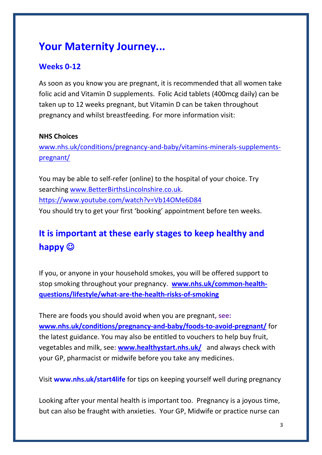## **Your Maternity Journey...**

### **Weeks 0-12**

As soon as you know you are pregnant, it is recommended that all women take folic acid and Vitamin D supplements. Folic Acid tablets (400mcg daily) can be taken up to 12 weeks pregnant, but Vitamin D can be taken throughout pregnancy and whilst breastfeeding. For more information visit:

#### **NHS Choices**

[www.nhs.uk/conditions/pregnancy-and-baby/vitamins-minerals-supplements](http://www.nhs.uk/conditions/pregnancy-and-baby/vitamins-minerals-supplements-pregnant/)[pregnant/](http://www.nhs.uk/conditions/pregnancy-and-baby/vitamins-minerals-supplements-pregnant/)

You may be able to self-refer (online) to the hospital of your choice. Try searching [www.BetterBirthsLincolnshire.co.uk.](http://www.betterbirthslincolnshire.co.uk/) https://www.youtube.com/watch?v=Vb14OMe6D84 You should try to get your first 'booking' appointment before ten weeks.

### **It is important at these early stages to keep healthy and happy**

If you, or anyone in your household smokes, you will be offered support to stop smoking throughout your pregnancy. **[www.nhs.uk/common-health](http://www.nhs.uk/common-health-questions/lifestyle/what-are-the-health-risks-of-smoking)[questions/lifestyle/what-are-the-health-risks-of-smoking](http://www.nhs.uk/common-health-questions/lifestyle/what-are-the-health-risks-of-smoking)**

There are foods you should avoid when you are pregnant**, see: [www.nhs.uk/conditions/pregnancy-and-baby/foods-to-avoid-pregnant/](http://www.nhs.uk/conditions/pregnancy-and-baby/foods-to-avoid-pregnant/)** for the latest guidance. You may also be entitled to vouchers to help buy fruit, vegetables and milk, see**: [www.healthystart.nhs.uk/](http://www.healthystart.nhs.uk/)** and always check with your GP, pharmacist or midwife before you take any medicines.

Visit **www.nhs.uk/start4life** for tips on keeping yourself well during pregnancy

Looking after your mental health is important too. Pregnancy is a joyous time, but can also be fraught with anxieties. Your GP, Midwife or practice nurse can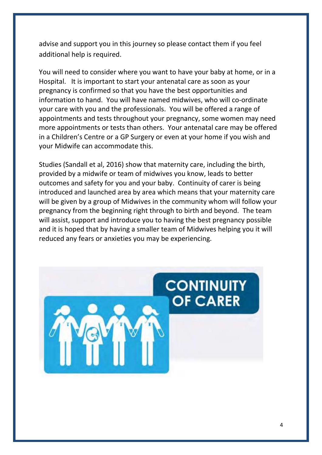advise and support you in this journey so please contact them if you feel additional help is required.

You will need to consider where you want to have your baby at home, or in a Hospital. It is important to start your antenatal care as soon as your pregnancy is confirmed so that you have the best opportunities and information to hand. You will have named midwives, who will co-ordinate your care with you and the professionals. You will be offered a range of appointments and tests throughout your pregnancy, some women may need more appointments or tests than others. Your antenatal care may be offered in a Children's Centre or a GP Surgery or even at your home if you wish and your Midwife can accommodate this.

Studies (Sandall et al, 2016) show that maternity care, including the birth, provided by a midwife or team of midwives you know, leads to better outcomes and safety for you and your baby. Continuity of carer is being introduced and launched area by area which means that your maternity care will be given by a group of Midwives in the community whom will follow your pregnancy from the beginning right through to birth and beyond. The team will assist, support and introduce you to having the best pregnancy possible and it is hoped that by having a smaller team of Midwives helping you it will reduced any fears or anxieties you may be experiencing.

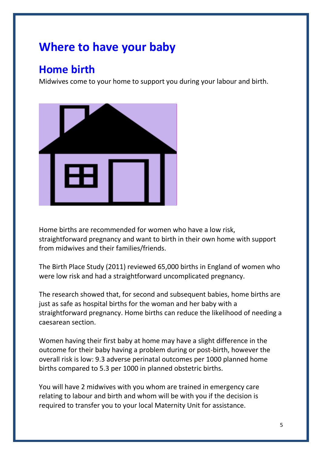## **Where to have your baby**

## **Home birth**

Midwives come to your home to support you during your labour and birth.



Home births are recommended for women who have a low risk, straightforward pregnancy and want to birth in their own home with support from midwives and their families/friends.

The Birth Place Study (2011) reviewed 65,000 births in England of women who were low risk and had a straightforward uncomplicated pregnancy.

The research showed that, for second and subsequent babies, home births are just as safe as hospital births for the woman and her baby with a straightforward pregnancy. Home births can reduce the likelihood of needing a caesarean section.

Women having their first baby at home may have a slight difference in the outcome for their baby having a problem during or post-birth, however the overall risk is low: 9.3 adverse perinatal outcomes per 1000 planned home births compared to 5.3 per 1000 in planned obstetric births.

You will have 2 midwives with you whom are trained in emergency care relating to labour and birth and whom will be with you if the decision is required to transfer you to your local Maternity Unit for assistance.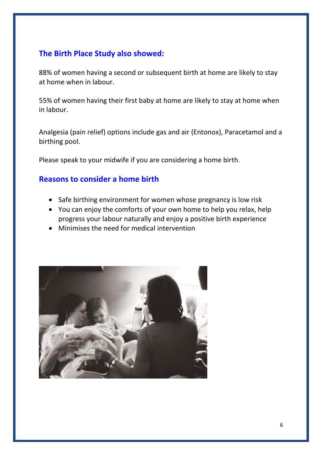### **The Birth Place Study also showed:**

88% of women having a second or subsequent birth at home are likely to stay at home when in labour.

55% of women having their first baby at home are likely to stay at home when in labour.

Analgesia (pain relief) options include gas and air (Entonox), Paracetamol and a birthing pool.

Please speak to your midwife if you are considering a home birth.

#### **Reasons to consider a home birth**

- Safe birthing environment for women whose pregnancy is low risk
- You can enjoy the comforts of your own home to help you relax, help progress your labour naturally and enjoy a positive birth experience
- Minimises the need for medical intervention

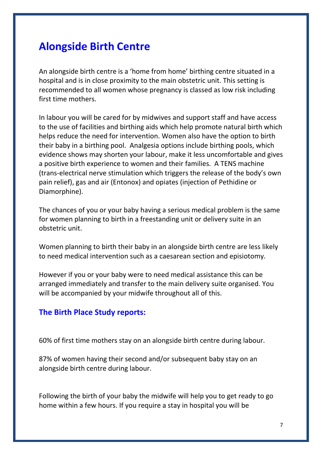### **Alongside Birth Centre**

An alongside birth centre is a 'home from home' birthing centre situated in a hospital and is in close proximity to the main obstetric unit. This setting is recommended to all women whose pregnancy is classed as low risk including first time mothers.

In labour you will be cared for by midwives and support staff and have access to the use of facilities and birthing aids which help promote natural birth which helps reduce the need for intervention. Women also have the option to birth their baby in a birthing pool. Analgesia options include birthing pools, which evidence shows may shorten your labour, make it less uncomfortable and gives a positive birth experience to women and their families. A TENS machine (trans-electrical nerve stimulation which triggers the release of the body's own pain relief), gas and air (Entonox) and opiates (injection of Pethidine or Diamorphine).

The chances of you or your baby having a serious medical problem is the same for women planning to birth in a freestanding unit or delivery suite in an obstetric unit.

Women planning to birth their baby in an alongside birth centre are less likely to need medical intervention such as a caesarean section and episiotomy.

However if you or your baby were to need medical assistance this can be arranged immediately and transfer to the main delivery suite organised. You will be accompanied by your midwife throughout all of this.

#### **The Birth Place Study reports:**

60% of first time mothers stay on an alongside birth centre during labour.

87% of women having their second and/or subsequent baby stay on an alongside birth centre during labour.

Following the birth of your baby the midwife will help you to get ready to go home within a few hours. If you require a stay in hospital you will be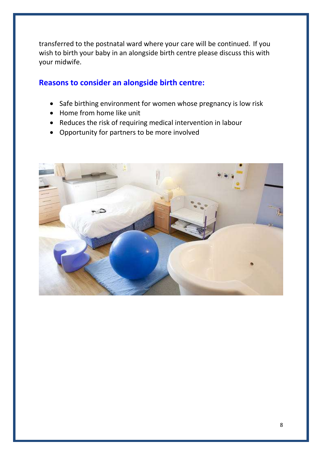transferred to the postnatal ward where your care will be continued. If you wish to birth your baby in an alongside birth centre please discuss this with your midwife.

#### **Reasons to consider an alongside birth centre:**

- Safe birthing environment for women whose pregnancy is low risk
- Home from home like unit
- Reduces the risk of requiring medical intervention in labour
- Opportunity for partners to be more involved

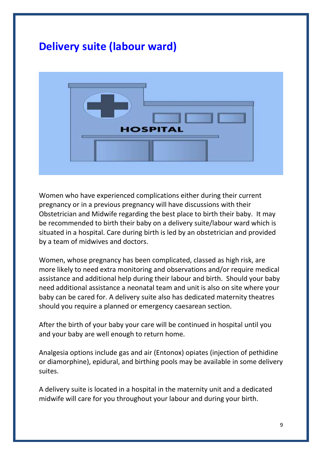### **Delivery suite (labour ward)**



Women who have experienced complications either during their current pregnancy or in a previous pregnancy will have discussions with their Obstetrician and Midwife regarding the best place to birth their baby. It may be recommended to birth their baby on a delivery suite/labour ward which is situated in a hospital. Care during birth is led by an obstetrician and provided by a team of midwives and doctors.

Women, whose pregnancy has been complicated, classed as high risk, are more likely to need extra monitoring and observations and/or require medical assistance and additional help during their labour and birth. Should your baby need additional assistance a neonatal team and unit is also on site where your baby can be cared for. A delivery suite also has dedicated maternity theatres should you require a planned or emergency caesarean section.

After the birth of your baby your care will be continued in hospital until you and your baby are well enough to return home.

Analgesia options include gas and air (Entonox) opiates (injection of pethidine or diamorphine), epidural, and birthing pools may be available in some delivery suites.

A delivery suite is located in a hospital in the maternity unit and a dedicated midwife will care for you throughout your labour and during your birth.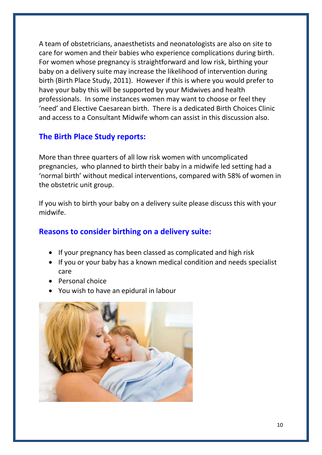A team of obstetricians, anaesthetists and neonatologists are also on site to care for women and their babies who experience complications during birth. For women whose pregnancy is straightforward and low risk, birthing your baby on a delivery suite may increase the likelihood of intervention during birth (Birth Place Study, 2011). However if this is where you would prefer to have your baby this will be supported by your Midwives and health professionals. In some instances women may want to choose or feel they 'need' and Elective Caesarean birth. There is a dedicated Birth Choices Clinic and access to a Consultant Midwife whom can assist in this discussion also.

#### **The Birth Place Study reports:**

More than three quarters of all low risk women with uncomplicated pregnancies, who planned to birth their baby in a midwife led setting had a 'normal birth' without medical interventions, compared with 58% of women in the obstetric unit group.

If you wish to birth your baby on a delivery suite please discuss this with your midwife.

#### **Reasons to consider birthing on a delivery suite:**

- If your pregnancy has been classed as complicated and high risk
- If you or your baby has a known medical condition and needs specialist care
- Personal choice
- You wish to have an epidural in labour

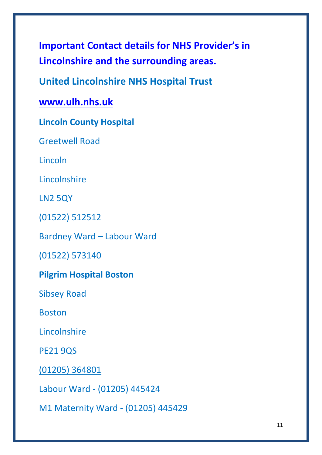**Important Contact details for NHS Provider's in Lincolnshire and the surrounding areas.**

**United Lincolnshire NHS Hospital Trust**

**[www.ulh.nhs.uk](http://www.ulh.nhs.uk/)**

**Lincoln County Hospital**

Greetwell Road

Lincoln

Lincolnshire

LN2 5QY

(01522) 512512

Bardney Ward – Labour Ward

(01522) 573140

### **Pilgrim Hospital Boston**

Sibsey Road

Boston

**Lincolnshire** 

PE21 9QS

[\(01205\) 364801](tel:(01205)364801)

Labour Ward - (01205) 445424

M1 Maternity Ward **-** (01205) 445429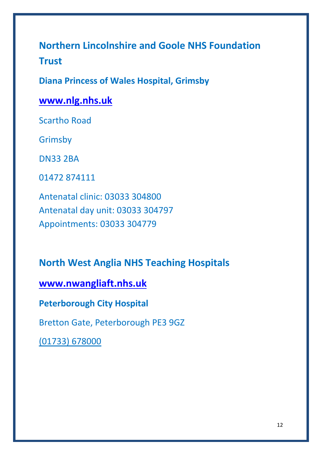## **Northern Lincolnshire and Goole NHS Foundation Trust**

**Diana Princess of Wales Hospital, Grimsby**

### **[www.nlg.nhs.uk](http://www.nlg.nhs.uk/)**

Scartho Road

Grimsby

DN33 2BA

01472 874111

Antenatal clinic: 03033 304800 Antenatal day unit: 03033 304797 Appointments: 03033 304779

### **North West Anglia NHS Teaching Hospitals**

**[www.nwangliaft.nhs.uk](http://www.nwangliaft.nhs.uk/)**

**Peterborough City Hospital**

Bretton Gate, Peterborough PE3 9GZ

[\(01733\) 678000](tel:0173367800)